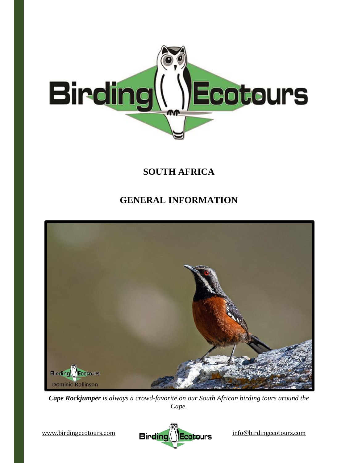

# **SOUTH AFRICA**

# **GENERAL INFORMATION**



*Cape Rockjumper is always a crowd-favorite on our South African birding tours around the Cape.*

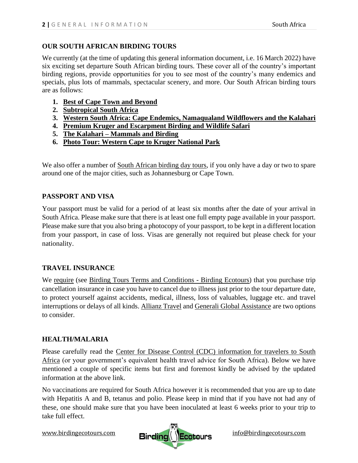#### **OUR SOUTH AFRICAN BIRDING TOURS**

We currently (at the time of updating this general information document, i.e. 16 March 2022) have six exciting set departure South African birding tours. These cover all of the country's important birding regions, provide opportunities for you to see most of the country's many endemics and specials, plus lots of mammals, spectacular scenery, and more. Our South African birding tours are as follows:

- **1. [Best of Cape Town and Beyond](https://www.birdingecotours.com/tour/birding-tour-south-africa-cape-town/)**
- **2. [Subtropical South Africa](https://www.birdingecotours.com/tour/birding-tour-subtropical-south-africa/)**
- **3. [Western South Africa: Cape Endemics, Namaqualand Wildflowers and the Kalahari](https://www.birdingecotours.com/tour/birding-tour-south-africa-cape-namaqualand-kalahari/)**
- **4. [Premium Kruger and Escarpment Birding and Wildlife Safari](https://www.birdingecotours.com/tour/birding-tour-south-africa-kruger-national-park-escarpment/)**
- **5. The Kalahari – [Mammals and Birding](https://www.birdingecotours.com/tour/mammal-and-birding-tour-south-africa-the-kalahari/)**
- **6. [Photo Tour: Western Cape to Kruger National Park](https://www.birdingecotours.com/tour/photo-birding-tour-south-africa-cape-kruger-national-park/)**

We also offer a number of [South African birding day tours,](https://www.birdingecotours.com/tours/birding-tours-day-tours/south-africa/) if you only have a day or two to spare around one of the major cities, such as Johannesburg or Cape Town.

### **PASSPORT AND VISA**

Your passport must be valid for a period of at least six months after the date of your arrival in South Africa. Please make sure that there is at least one full empty page available in your passport. Please make sure that you also bring a photocopy of your passport, to be kept in a different location from your passport, in case of loss. Visas are generally not required but please check for your nationality.

#### **TRAVEL INSURANCE**

We require (see [Birding Tours Terms and Conditions -](https://www.birdingecotours.com/about-birding-ecotours/terms-conditions/) Birding Ecotours) that you purchase trip cancellation insurance in case you have to cancel due to illness just prior to the tour departure date, to protect yourself against accidents, medical, illness, loss of valuables, luggage etc. and travel interruptions or delays of all kinds. [Allianz Travel](http://www.allianztravelinsurance.com/) and [Generali Global Assistance](https://shop.generalitravelinsurance.com/csa-travel-protection) are two options to consider.

### **HEALTH/MALARIA**

Please carefully read the [Center for Disease Control \(CDC\) information for travelers to South](https://wwwnc.cdc.gov/travel/destinations/traveler/none/south-africa)  [Africa](https://wwwnc.cdc.gov/travel/destinations/traveler/none/south-africa) (or your government's equivalent health travel advice for South Africa). Below we have mentioned a couple of specific items but first and foremost kindly be advised by the updated information at the above link.

No vaccinations are required for South Africa however it is recommended that you are up to date with Hepatitis A and B, tetanus and polio. Please keep in mind that if you have not had any of these, one should make sure that you have been inoculated at least 6 weeks prior to your trip to take full effect.

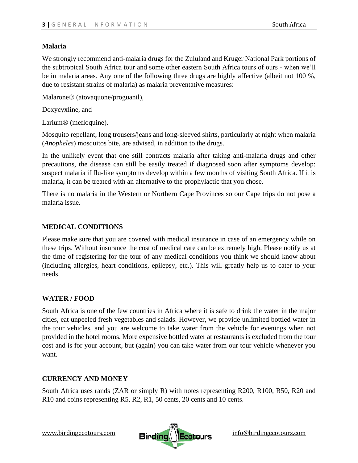#### **Malaria**

We strongly recommend anti-malaria drugs for the Zululand and Kruger National Park portions of the subtropical South Africa tour and some other eastern South Africa tours of ours - when we'll be in malaria areas. Any one of the following three drugs are highly affective (albeit not 100 %, due to resistant strains of malaria) as malaria preventative measures:

Malarone<sup>®</sup> (atovaquone/proguanil),

Doxycyxline, and

Larium<sup>®</sup> (mefloquine).

Mosquito repellant, long trousers/jeans and long-sleeved shirts, particularly at night when malaria (*Anopheles*) mosquitos bite, are advised, in addition to the drugs.

In the unlikely event that one still contracts malaria after taking anti-malaria drugs and other precautions, the disease can still be easily treated if diagnosed soon after symptoms develop: suspect malaria if flu-like symptoms develop within a few months of visiting South Africa. If it is malaria, it can be treated with an alternative to the prophylactic that you chose.

There is no malaria in the Western or Northern Cape Provinces so our Cape trips do not pose a malaria issue.

### **MEDICAL CONDITIONS**

Please make sure that you are covered with medical insurance in case of an emergency while on these trips. Without insurance the cost of medical care can be extremely high. Please notify us at the time of registering for the tour of any medical conditions you think we should know about (including allergies, heart conditions, epilepsy, etc.). This will greatly help us to cater to your needs.

### **WATER / FOOD**

South Africa is one of the few countries in Africa where it is safe to drink the water in the major cities, eat unpeeled fresh vegetables and salads. However, we provide unlimited bottled water in the tour vehicles, and you are welcome to take water from the vehicle for evenings when not provided in the hotel rooms. More expensive bottled water at restaurants is excluded from the tour cost and is for your account, but (again) you can take water from our tour vehicle whenever you want.

### **CURRENCY AND MONEY**

South Africa uses rands (ZAR or simply R) with notes representing R200, R100, R50, R20 and R10 and coins representing R5, R2, R1, 50 cents, 20 cents and 10 cents.

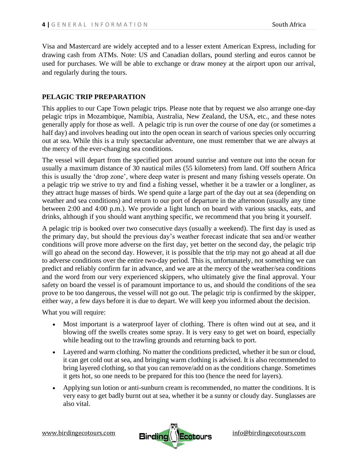Visa and Mastercard are widely accepted and to a lesser extent American Express, including for drawing cash from ATMs. Note: US and Canadian dollars, pound sterling and euros cannot be used for purchases. We will be able to exchange or draw money at the airport upon our arrival, and regularly during the tours.

#### **PELAGIC TRIP PREPARATION**

This applies to our Cape Town pelagic trips. Please note that by request we also arrange one-day pelagic trips in Mozambique, Namibia, Australia, New Zealand, the USA, etc., and these notes generally apply for those as well. A pelagic trip is run over the course of one day (or sometimes a half day) and involves heading out into the open ocean in search of various species only occurring out at sea. While this is a truly spectacular adventure, one must remember that we are always at the mercy of the ever-changing sea conditions.

The vessel will depart from the specified port around sunrise and venture out into the ocean for usually a maximum distance of 30 nautical miles (55 kilometers) from land. Off southern Africa this is usually the 'drop zone', where deep water is present and many fishing vessels operate. On a pelagic trip we strive to try and find a fishing vessel, whether it be a trawler or a longliner, as they attract huge masses of birds. We spend quite a large part of the day out at sea (depending on weather and sea conditions) and return to our port of departure in the afternoon (usually any time between 2:00 and 4:00 p.m.). We provide a light lunch on board with various snacks, eats, and drinks, although if you should want anything specific, we recommend that you bring it yourself.

A pelagic trip is booked over two consecutive days (usually a weekend). The first day is used as the primary day, but should the previous day's weather forecast indicate that sea and/or weather conditions will prove more adverse on the first day, yet better on the second day, the pelagic trip will go ahead on the second day. However, it is possible that the trip may not go ahead at all due to adverse conditions over the entire two-day period. This is, unfortunately, not something we can predict and reliably confirm far in advance, and we are at the mercy of the weather/sea conditions and the word from our very experienced skippers, who ultimately give the final approval. Your safety on board the vessel is of paramount importance to us, and should the conditions of the sea prove to be too dangerous, the vessel will not go out. The pelagic trip is confirmed by the skipper, either way, a few days before it is due to depart. We will keep you informed about the decision.

What you will require:

- Most important is a waterproof layer of clothing. There is often wind out at sea, and it blowing off the swells creates some spray. It is very easy to get wet on board, especially while heading out to the trawling grounds and returning back to port.
- Layered and warm clothing. No matter the conditions predicted, whether it be sun or cloud, it can get cold out at sea, and bringing warm clothing is advised. It is also recommended to bring layered clothing, so that you can remove/add on as the conditions change. Sometimes it gets hot, so one needs to be prepared for this too (hence the need for layers).
- Applying sun lotion or anti-sunburn cream is recommended, no matter the conditions. It is very easy to get badly burnt out at sea, whether it be a sunny or cloudy day. Sunglasses are also vital.

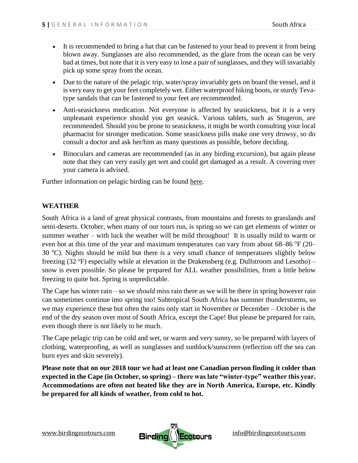- It is recommended to bring a hat that can be fastened to your head to prevent it from being blown away. Sunglasses are also recommended, as the glare from the ocean can be very bad at times, but note that it is very easy to lose a pair of sunglasses, and they will invariably pick up some spray from the ocean.
- Due to the nature of the pelagic trip, water/spray invariably gets on board the vessel, and it is very easy to get your feet completely wet. Either waterproof hiking boots, or sturdy Tevatype sandals that can be fastened to your feet are recommended.
- Anti-seasickness medication. Not everyone is affected by seasickness, but it is a very unpleasant experience should you get seasick. Various tablets, such as Stugeron, are recommended. Should you be prone to seasickness, it might be worth consulting your local pharmacist for stronger medication. Some seasickness pills make one very drowsy, so do consult a doctor and ask her/him as many questions as possible, before deciding.
- Binoculars and cameras are recommended (as in any birding excursion), but again please note that they can very easily get wet and could get damaged as a result. A covering over your camera is advised.

Further information on pelagic birding can be found [here.](https://www.birdingecotours.com/pelagic-birding-with-birding-ecotours/)

### **WEATHER**

South Africa is a land of great physical contrasts, from mountains and forests to grasslands and semi-deserts. October, when many of our tours run, is spring so we can get elements of winter or summer weather – with luck the weather will be mild throughout! It is usually mild to warm or even hot at this time of the year and maximum temperatures can vary from about  $68-86$  °F (20– 30  $^{\circ}$ C). Nights should be mild but there is a very small chance of temperatures slightly below freezing (32  $\textdegree$ F) especially while at elevation in the Drakensberg (e.g. Dullstroom and Lesotho) – snow is even possible. So please be prepared for ALL weather possibilities, from a little below freezing to quite hot. Spring is unpredictable.

The Cape has winter rain – so we *should* miss rain there as we will be there in spring however rain can sometimes continue into spring too! Subtropical South Africa has summer thunderstorms, so we may experience these but often the rains only start in November or December – October is the end of the dry season over most of South Africa, except the Cape! But please be prepared for rain, even though there is not likely to be much.

The Cape pelagic trip can be cold and wet, or warm and very sunny, so be prepared with layers of clothing, waterproofing, as well as sunglasses and sunblock/sunscreen (reflection off the sea can burn eyes and skin severely).

**Please note that on our 2018 tour we had at least one Canadian person finding it colder than expected in the Cape (in October, so spring) – there was late "winter-type" weather this year. Accommodations are often not heated like they are in North America, Europe, etc. Kindly be prepared for all kinds of weather, from cold to hot.** 

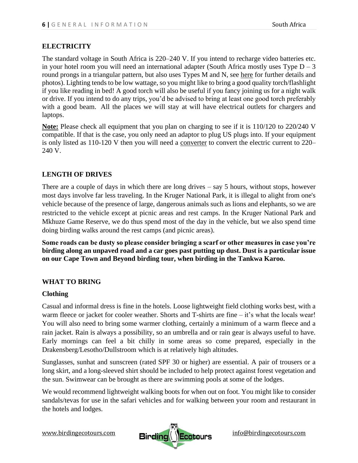# **ELECTRICITY**

The standard voltage in South Africa is 220–240 V. If you intend to recharge video batteries etc. in your hotel room you will need an international adapter (South Africa mostly uses Type  $D - 3$ round prongs in a triangular pattern, but also uses Types M and N, see [here](https://www.power-plugs-sockets.com/south-africa/) for further details and photos). Lighting tends to be low wattage, so you might like to bring a good quality torch/flashlight if you like reading in bed! A good torch will also be useful if you fancy joining us for a night walk or drive. If you intend to do any trips, you'd be advised to bring at least one good torch preferably with a good beam. All the places we will stay at will have electrical outlets for chargers and laptops.

**Note:** Please check all equipment that you plan on charging to see if it is 110/120 to 220/240 V compatible. If that is the case, you only need an adaptor to plug US plugs into. If your equipment is only listed as 110-120 V then you will need a converter to convert the electric current to 220– 240 V.

## **LENGTH OF DRIVES**

There are a couple of days in which there are long drives – say 5 hours, without stops, however most days involve far less traveling. In the Kruger National Park, it is illegal to alight from one's vehicle because of the presence of large, dangerous animals such as lions and elephants, so we are restricted to the vehicle except at picnic areas and rest camps. In the Kruger National Park and Mkhuze Game Reserve, we do thus spend most of the day in the vehicle, but we also spend time doing birding walks around the rest camps (and picnic areas).

**Some roads can be dusty so please consider bringing a scarf or other measures in case you're birding along an unpaved road and a car goes past putting up dust. Dust is a particular issue on our Cape Town and Beyond birding tour, when birding in the Tankwa Karoo.**

### **WHAT TO BRING**

### **Clothing**

Casual and informal dress is fine in the hotels. Loose lightweight field clothing works best, with a warm fleece or jacket for cooler weather. Shorts and T-shirts are fine – it's what the locals wear! You will also need to bring some warmer clothing, certainly a minimum of a warm fleece and a rain jacket. Rain is always a possibility, so an umbrella and or rain gear is always useful to have. Early mornings can feel a bit chilly in some areas so come prepared, especially in the Drakensberg/Lesotho/Dullstroom which is at relatively high altitudes.

Sunglasses, sunhat and sunscreen (rated SPF 30 or higher) are essential. A pair of trousers or a long skirt, and a long-sleeved shirt should be included to help protect against forest vegetation and the sun. Swimwear can be brought as there are swimming pools at some of the lodges.

We would recommend lightweight walking boots for when out on foot. You might like to consider sandals/tevas for use in the safari vehicles and for walking between your room and restaurant in the hotels and lodges.